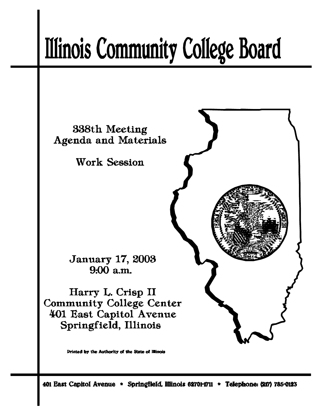# **Illinois Community College Board**



401 East Capitol Avenue \* Springfield, Illinois 62701-1711 \* Telephone: (217) 785-0123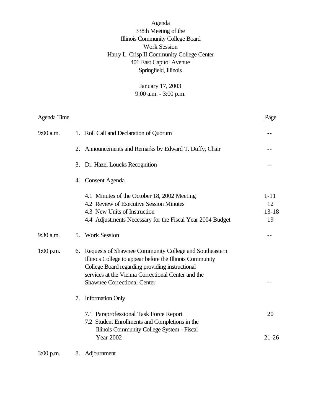Agenda 338th Meeting of the Illinois Community College Board Work Session Harry L. Crisp II Community College Center 401 East Capitol Avenue Springfield, Illinois

> January 17, 2003 9:00 a.m. - 3:00 p.m.

| <b>Agenda Time</b> |    |                                                                                                                                                                                                                                                                      | Page                              |
|--------------------|----|----------------------------------------------------------------------------------------------------------------------------------------------------------------------------------------------------------------------------------------------------------------------|-----------------------------------|
| 9:00 a.m.          | 1. | Roll Call and Declaration of Quorum                                                                                                                                                                                                                                  |                                   |
|                    | 2. | Announcements and Remarks by Edward T. Duffy, Chair                                                                                                                                                                                                                  |                                   |
|                    | 3. | Dr. Hazel Loucks Recognition                                                                                                                                                                                                                                         |                                   |
|                    | 4. | Consent Agenda                                                                                                                                                                                                                                                       |                                   |
|                    |    | 4.1 Minutes of the October 18, 2002 Meeting<br>4.2 Review of Executive Session Minutes<br>4.3 New Units of Instruction<br>4.4 Adjustments Necessary for the Fiscal Year 2004 Budget                                                                                  | $1 - 11$<br>12<br>$13 - 18$<br>19 |
| 9:30 a.m.          | 5. | <b>Work Session</b>                                                                                                                                                                                                                                                  |                                   |
| $1:00$ p.m.        |    | 6. Requests of Shawnee Community College and Southeastern<br>Illinois College to appear before the Illinois Community<br>College Board regarding providing instructional<br>services at the Vienna Correctional Center and the<br><b>Shawnee Correctional Center</b> |                                   |
|                    | 7. | <b>Information Only</b>                                                                                                                                                                                                                                              |                                   |
|                    |    | 7.1 Paraprofessional Task Force Report<br>7.2 Student Enrollments and Completions in the<br>Illinois Community College System - Fiscal<br><b>Year 2002</b>                                                                                                           | 20<br>$21 - 26$                   |
| $3:00$ p.m.        | 8. | Adjournment                                                                                                                                                                                                                                                          |                                   |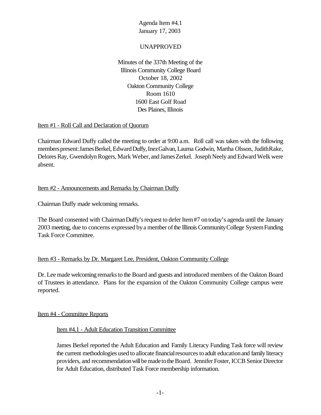## UNAPPROVED

Minutes of the 337th Meeting of the Illinois Community College Board October 18, 2002 Oakton Community College Room 1610 1600 East Golf Road Des Plaines, Illinois

#### Item #1 - Roll Call and Declaration of Quorum

Chairman Edward Duffy called the meeting to order at 9:00 a.m. Roll call was taken with the following members present: James Berkel, Edward Duffy, Inez Galvan, Laurna Godwin, Martha Olsson, Judith Rake, Delores Ray, Gwendolyn Rogers, Mark Weber, and James Zerkel. Joseph Neely and Edward Welk were absent.

#### Item #2 - Announcements and Remarks by Chairman Duffy

Chairman Duffy made welcoming remarks.

The Board consented with Chairman Duffy's request to defer Item #7 on today's agenda until the January 2003 meeting, due to concerns expressed bya member ofthe Illinois CommunityCollege SystemFunding Task Force Committee.

#### Item #3 - Remarks by Dr. Margaret Lee, President, Oakton Community College

Dr. Lee made welcoming remarks to the Board and guests and introduced members of the Oakton Board of Trustees in attendance. Plans for the expansion of the Oakton Community College campus were reported.

#### Item #4 - Committee Reports

#### Item #4.1 - Adult Education Transition Committee

James Berkel reported the Adult Education and Family Literacy Funding Task force will review the current methodologies used to allocate financial resources to adult education and family literacy providers, and recommendation will be made to the Board. Jennifer Foster, ICCB Senior Director for Adult Education, distributed Task Force membership information.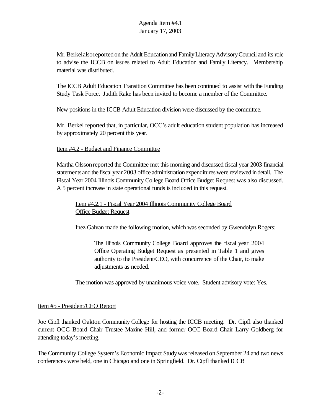Mr. Berkelalso reported on the Adult Education and Family Literacy Advisory Council and its role to advise the ICCB on issues related to Adult Education and Family Literacy. Membership material was distributed.

The ICCB Adult Education Transition Committee has been continued to assist with the Funding Study Task Force. Judith Rake has been invited to become a member of the Committee.

New positions in the ICCB Adult Education division were discussed by the committee.

Mr. Berkel reported that, in particular, OCC's adult education student population has increased by approximately 20 percent this year.

#### Item #4.2 - Budget and Finance Committee

Martha Olssonreported the Committee met this morning and discussed fiscal year 2003 financial statements and the fiscal year 2003 office administration expenditures were reviewed in detail. The Fiscal Year 2004 Illinois Community College Board Office Budget Request was also discussed. A 5 percent increase in state operational funds is included in this request.

## Item #4.2.1 - Fiscal Year 2004 Illinois Community College Board Office Budget Request

Inez Galvan made the following motion, which was seconded by Gwendolyn Rogers:

The Illinois Community College Board approves the fiscal year 2004 Office Operating Budget Request as presented in Table 1 and gives authority to the President/CEO, with concurrence of the Chair, to make adjustments as needed.

The motion was approved by unanimous voice vote. Student advisory vote: Yes.

## Item #5 - President/CEO Report

Joe Cipfl thanked Oakton Community College for hosting the ICCB meeting. Dr. Cipfl also thanked current OCC Board Chair Trustee Maxine Hill, and former OCC Board Chair Larry Goldberg for attending today's meeting.

The Community College System's Economic Impact Study was released on September 24 and two news conferences were held, one in Chicago and one in Springfield. Dr. Cipfl thanked ICCB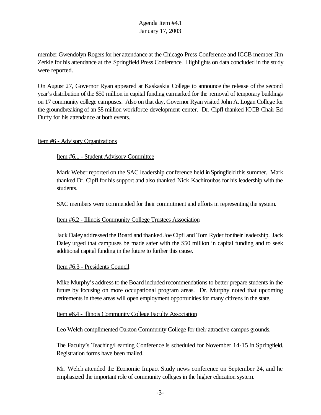member Gwendolyn Rogers for her attendance at the Chicago Press Conference and ICCB member Jim Zerkle for his attendance at the Springfield Press Conference. Highlights on data concluded in the study were reported.

On August 27, Governor Ryan appeared at Kaskaskia College to announce the release of the second year's distribution of the \$50 million in capital funding earmarked for the removal of temporary buildings on 17 community college campuses. Also on that day, Governor Ryan visited John A. Logan College for the groundbreaking of an \$8 million workforce development center. Dr. Cipfl thanked ICCB Chair Ed Duffy for his attendance at both events.

#### Item #6 - Advisory Organizations

#### Item #6.1 - Student Advisory Committee

Mark Weber reported on the SAC leadership conference held inSpringfield this summer. Mark thanked Dr. Cipfl for his support and also thanked Nick Kachiroubas for his leadership with the students.

SAC members were commended for their commitment and efforts in representing the system.

#### Item #6.2 - Illinois Community College Trustees Association

Jack Daleyaddressed the Board and thanked Joe Cipfl and Tom Ryder fortheir leadership. Jack Daley urged that campuses be made safer with the \$50 million in capital funding and to seek additional capital funding in the future to further this cause.

#### Item #6.3 - Presidents Council

Mike Murphy's address to the Board included recommendations to better prepare students in the future by focusing on more occupational program areas. Dr. Murphy noted that upcoming retirements in these areas will open employment opportunities for many citizens in the state.

#### Item #6.4 - Illinois Community College Faculty Association

Leo Welch complimented Oakton Community College for their attractive campus grounds.

The Faculty's Teaching/Learning Conference is scheduled for November 14-15 in Springfield. Registration forms have been mailed.

Mr. Welch attended the Economic Impact Study news conference on September 24, and he emphasized the important role of community colleges in the higher education system.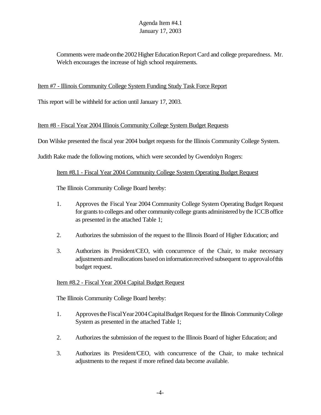Comments were made on the 2002 Higher Education Report Card and college preparedness. Mr. Welch encourages the increase of high school requirements.

## Item #7 - Illinois Community College System Funding Study Task Force Report

This report will be withheld for action until January 17, 2003.

## Item #8 - Fiscal Year 2004 Illinois Community College System Budget Requests

Don Wilske presented the fiscal year 2004 budget requests for the Illinois Community College System.

Judith Rake made the following motions, which were seconded by Gwendolyn Rogers:

#### Item #8.1 - Fiscal Year 2004 Community College System Operating Budget Request

The Illinois Community College Board hereby:

- 1. Approves the Fiscal Year 2004 Community College System Operating Budget Request for grants to colleges and other community college grants administered by the ICCB office as presented in the attached Table 1;
- 2. Authorizes the submission of the request to the Illinois Board of Higher Education; and
- 3. Authorizes its President/CEO, with concurrence of the Chair, to make necessary adjustmentsand reallocations basedoninformationreceived subsequent to approvalofthis budget request.

## Item #8.2 - Fiscal Year 2004 Capital Budget Request

The Illinois Community College Board hereby:

- 1. Approves the Fiscal Year 2004 Capital Budget Request for the Illinois Community College System as presented in the attached Table 1;
- 2. Authorizes the submission of the request to the Illinois Board of higher Education; and
- 3. Authorizes its President/CEO, with concurrence of the Chair, to make technical adjustments to the request if more refined data become available.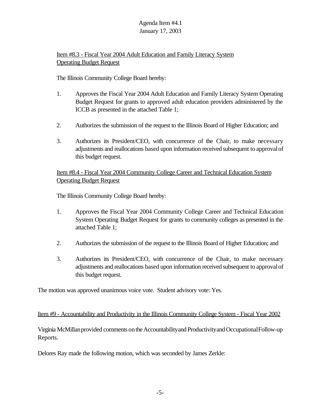# Item #8.3 - Fiscal Year 2004 Adult Education and Family Literacy System **Operating Budget Request**

The Illinois Community College Board hereby:

- 1. Approves the Fiscal Year 2004 Adult Education and Family Literacy System Operating Budget Request for grants to approved adult education providers administered by the ICCB as presented in the attached Table 1;
- 2. Authorizes the submission of the request to the Illinois Board of Higher Education; and
- 3. Authorizes its President/CEO, with concurrence of the Chair, to make necessary adjustments and reallocations based upon information received subsequent to approvalof this budget request.

## Item #8.4 - Fiscal Year 2004 Community College Career and Technical Education System Operating Budget Request

The Illinois Community College Board hereby:

- 1. Approves the Fiscal Year 2004 Community College Career and Technical Education System Operating Budget Request for grants to community colleges as presented in the attached Table 1;
- 2. Authorizes the submission of the request to the Illinois Board of Higher Education; and
- 3. Authorizes its President/CEO, with concurrence of the Chair, to make necessary adjustments and reallocations based upon information received subsequent to approvalof this budget request.

The motion was approved unanimous voice vote. Student advisory vote: Yes.

## Item #9 - Accountability and Productivity in the Illinois Community College System - Fiscal Year 2002

Virginia McMillan provided comments on the Accountability and Productivity and Occupational Follow-up Reports.

Delores Ray made the following motion, which was seconded by James Zerkle: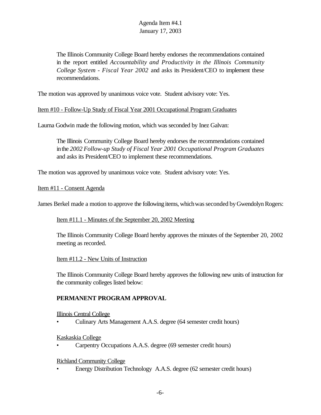The Illinois Community College Board hereby endorses the recommendations contained in the report entitled *Accountability and Productivity in the Illinois Community College System - Fiscal Year 2002* and asks its President/CEO to implement these recommendations.

The motion was approved by unanimous voice vote. Student advisory vote: Yes.

Item #10 - Follow-Up Study of Fiscal Year 2001 Occupational Program Graduates

Laurna Godwin made the following motion, which was seconded by Inez Galvan:

The Illinois Community College Board hereby endorses the recommendations contained inthe *2002 Follow-up Study of Fiscal Year 2001 Occupational Program Graduates* and asks its President/CEO to implement these recommendations.

The motion was approved by unanimous voice vote. Student advisory vote: Yes.

Item #11 - Consent Agenda

James Berkel made a motion to approve the following items, which was seconded by Gwendolyn Rogers:

Item #11.1 - Minutes of the September 20, 2002 Meeting

The Illinois Community College Board hereby approves the minutes of the September 20, 2002 meeting as recorded.

Item #11.2 - New Units of Instruction

The Illinois Community College Board hereby approves the following new units of instruction for the community colleges listed below:

## **PERMANENT PROGRAM APPROVAL**

Illinois Central College

• Culinary Arts Management A.A.S. degree (64 semester credit hours)

#### Kaskaskia College

• Carpentry Occupations A.A.S. degree (69 semester credit hours)

Richland Community College

• Energy Distribution Technology A.A.S. degree (62 semester credit hours)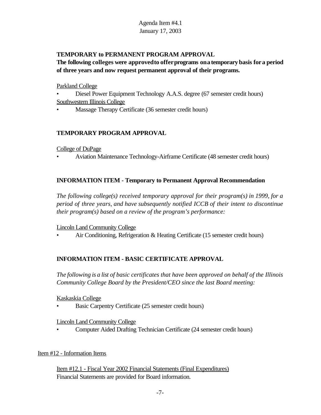# **TEMPORARY to PERMANENT PROGRAM APPROVAL**

# **The following colleges were approvedto offerprograms onatemporary basis fora period of three years and now request permanent approval of their programs.**

Parkland College

- Diesel Power Equipment Technology A.A.S. degree (67 semester credit hours) Southwestern Illinois College
- Massage Therapy Certificate (36 semester credit hours)

## **TEMPORARY PROGRAM APPROVAL**

College of DuPage

• Aviation Maintenance Technology-Airframe Certificate (48 semester credit hours)

# **INFORMATION ITEM - Temporary to Permanent Approval Recommendation**

*The following college(s) received temporary approval for their program(s) in 1999, for a period of three years, and have subsequently notified ICCB of their intent to discontinue their program(s) based on a review of the program's performance:*

Lincoln Land Community College

• Air Conditioning, Refrigeration & Heating Certificate (15 semester credit hours)

## **INFORMATION ITEM - BASIC CERTIFICATE APPROVAL**

*The following is a list of basic certificates that have been approved on behalf of the Illinois Community College Board by the President/CEO since the last Board meeting:*

Kaskaskia College

• Basic Carpentry Certificate (25 semester credit hours)

Lincoln Land Community College

• Computer Aided Drafting Technician Certificate (24 semester credit hours)

## Item #12 - Information Items

Item #12.1 - Fiscal Year 2002 Financial Statements (Final Expenditures) Financial Statements are provided for Board information.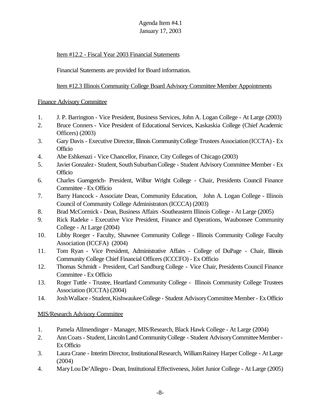# Item #12.2 - Fiscal Year 2003 Financial Statements

Financial Statements are provided for Board information.

Item #12.3 Illinois Community College Board Advisory Committee Member Appointments

## Finance Advisory Committee

- 1. J. P. Barrington Vice President, Business Services, John A. Logan College At Large (2003)
- 2. Bruce Conners Vice President of Educational Services, Kaskaskia College (Chief Academic Officers) (2003)
- 3. Gary Davis Executive Director, Illinois Community College Trustees Association (ICCTA) Ex **Officio**
- 4. Abe Eshkenazi Vice Chancellor, Finance, City Colleges of Chicago (2003)
- 5. Javier Gonzalez Student, South Suburban College Student Advisory Committee Member Ex **Officio**
- 6. Charles Guengerich- President, Wilbur Wright College Chair, Presidents Council Finance Committee - Ex Officio
- 7. Barry Hancock Associate Dean, Community Education, John A. Logan College Illinois Council of Community College Administrators (ICCCA) (2003)
- 8. Brad McCormick Dean, Business Affairs -Southeastern Illinois College At Large (2005)
- 9. Rick Radeke Executive Vice President, Finance and Operations, Waubonsee Community College - At Large (2004)
- 10. Libby Roeger Faculty, Shawnee Community College Illinois Community College Faculty Association (ICCFA) (2004)
- 11. Tom Ryan Vice President, Administrative Affairs College of DuPage Chair, Illinois Community College Chief Financial Officers (ICCCFO) - Ex Officio
- 12. Thomas Schmidt President, Carl Sandburg College Vice Chair, Presidents Council Finance Committee - Ex Officio
- 13. Roger Tuttle Trustee, Heartland Community College Illinois Community College Trustees Association (ICCTA) (2004)
- 14. JoshWallace Student,KishwaukeeCollege Student AdvisoryCommittee Member- ExOfficio

## MIS/Research Advisory Committee

- 1. Pamela Allmendinger Manager, MIS/Research, Black Hawk College At Large (2004)
- 2. AnnCoats- Student, LincolnLand CommunityCollege Student AdvisoryCommitteeMember-Ex Officio
- 3. Laura Crane Interim Director, Institutional Research, William Rainey Harper College At Large (2004)
- 4. MaryLouDe'Allegro Dean, Institutional Effectiveness, Joliet Junior College At Large (2005)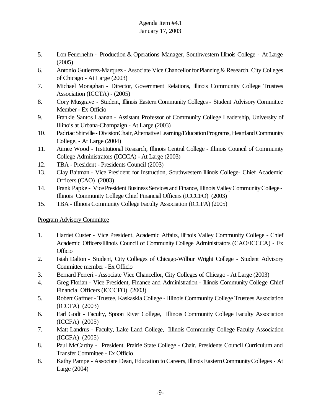- 5. Lon Feuerhelm Production & Operations Manager, Southwestern Illinois College At Large (2005)
- 6. Antonio Gutierrez-Marquez Associate Vice Chancellor for Planning & Research, City Colleges of Chicago - At Large (2003)
- 7. Michael Monaghan Director, Government Relations, Illinois Community College Trustees Association (ICCTA) - (2005)
- 8. Cory Musgrave Student, Illinois Eastern Community Colleges Student Advisory Committee Member - Ex Officio
- 9. Frankie Santos Laanan Assistant Professor of Community College Leadership, University of Illinois at Urbana-Champaign - At Large (2003)
- 10. Padriac Shinville Division Chair, Alternative Learning/Education Programs, Heartland Community College, - At Large (2004)
- 11. Aimee Wood Institutional Research, Illinois Central College Illinois Council of Community College Administrators (ICCCA) - At Large (2003)
- 12. TBA President Presidents Council (2003)
- 13. Clay Baitman Vice President for Instruction, Southwestern Illinois College- Chief Academic Officers (CAO) (2003)
- 14. Frank Papke Vice President Business Services and Finance, Illinois Valley Community College Illinois Community College Chief Financial Officers (ICCCFO) (2003)
- 15. TBA Illinois Community College Faculty Association (ICCFA) (2005)

# Program Advisory Committee

- 1. Harriet Custer Vice President, Academic Affairs, Illinois Valley Community College Chief Academic Officers/Illinois Council of Community College Administrators (CAO/ICCCA) - Ex **Officio**
- 2. Isiah Dalton Student, City Colleges of Chicago-Wilbur Wright College Student Advisory Committee member - Ex Officio
- 3. Bernard Ferreri Associate Vice Chancellor, City Colleges of Chicago At Large (2003)
- 4. Greg Florian Vice President, Finance and Administration Illinois Community College Chief Financial Officers (ICCCFO) (2003)
- 5. Robert Gaffner Trustee, Kaskaskia College Illinois Community College Trustees Association (ICCTA) (2003)
- 6. Earl Godt Faculty, Spoon River College, Illinois Community College Faculty Association (ICCFA) (2005)
- 7. Matt Landrus Faculty, Lake Land College, Illinois Community College Faculty Association (ICCFA) (2005)
- 8. Paul McCarthy President, Prairie State College Chair, Presidents Council Curriculum and Transfer Committee - Ex Officio
- 8. Kathy Pampe Associate Dean, Education to Careers, Illinois Eastern Community Colleges At Large (2004)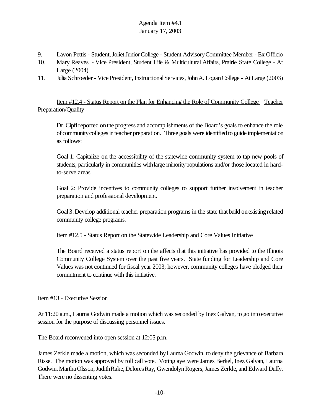- 9. Lavon Pettis Student, Joliet Junior College Student Advisory Committee Member Ex Officio
- 10. Mary Reaves Vice President, Student Life & Multicultural Affairs, Prairie State College At Large (2004)
- 11. Julia Schroeder Vice President, Instructional Services, John A. Logan College At Large (2003)

Item #12.4 - Status Report on the Plan for Enhancing the Role of Community College Teacher Preparation/Quality

Dr. Cipfl reported on the progress and accomplishments of the Board's goals to enhance the role of community colleges in teacher preparation. Three goals were identified to guide implementation as follows:

Goal 1: Capitalize on the accessibility of the statewide community system to tap new pools of students, particularly in communities withlarge minoritypopulations and/or those located in hardto-serve areas.

Goal 2: Provide incentives to community colleges to support further involvement in teacher preparation and professional development.

Goal3:Develop additional teacher preparation programs in the state that build onexisting related community college programs.

#### Item #12.5 - Status Report on the Statewide Leadership and Core Values Initiative

The Board received a status report on the affects that this initiative has provided to the Illinois Community College System over the past five years. State funding for Leadership and Core Values was not continued for fiscal year 2003; however, community colleges have pledged their commitment to continue with this initiative.

#### Item #13 - Executive Session

At 11:20 a.m., Laurna Godwin made a motion which was seconded by Inez Galvan, to go into executive session for the purpose of discussing personnel issues.

The Board reconvened into open session at 12:05 p.m.

James Zerkle made a motion, which was seconded byLaurna Godwin, to deny the grievance of Barbara Risse. The motion was approved by roll call vote. Voting aye were James Berkel, Inez Galvan, Laurna Godwin, Martha Olsson, JudithRake, Delores Ray, Gwendolyn Rogers, James Zerkle, and Edward Duffy. There were no dissenting votes.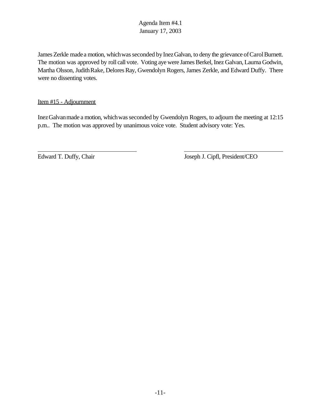James Zerkle made a motion, which was seconded by Inez Galvan, to deny the grievance of Carol Burnett. The motion was approved by roll call vote. Voting aye were James Berkel, Inez Galvan, Laurna Godwin, Martha Olsson, Judith Rake, Delores Ray, Gwendolyn Rogers, James Zerkle, and Edward Duffy. There were no dissenting votes.

Item #15 - Adjournment

Inez Galvan made a motion, which was seconded by Gwendolyn Rogers, to adjourn the meeting at 12:15 p.m.. The motion was approved by unanimous voice vote. Student advisory vote: Yes.

 $\overline{a}$ 

Edward T. Duffy, Chair Joseph J. Cipfl, President/CEO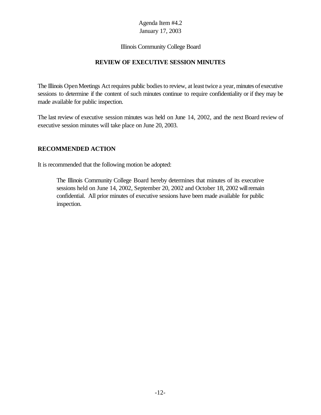#### Illinois Community College Board

## **REVIEW OF EXECUTIVE SESSION MINUTES**

The Illinois Open Meetings Act requires public bodies to review, at least twice a year, minutes of executive sessions to determine if the content of such minutes continue to require confidentiality or if they may be made available for public inspection.

The last review of executive session minutes was held on June 14, 2002, and the next Board review of executive session minutes will take place on June 20, 2003.

## **RECOMMENDED ACTION**

It is recommended that the following motion be adopted:

The Illinois Community College Board hereby determines that minutes of its executive sessions held on June 14, 2002, September 20, 2002 and October 18, 2002 willremain confidential. All prior minutes of executive sessions have been made available for public inspection.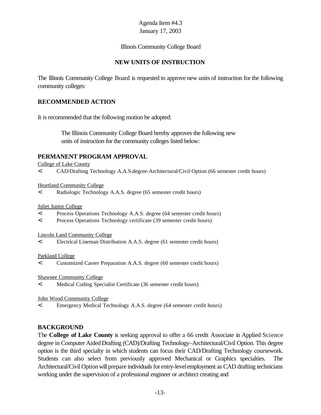#### Illinois Community College Board

## **NEW UNITS OF INSTRUCTION**

The Illinois Community College Board is requested to approve new units of instruction for the following community colleges:

## **RECOMMENDED ACTION**

It is recommended that the following motion be adopted:

 The Illinois Community College Board hereby approves the following new units of instruction for the community colleges listed below:

#### **PERMANENT PROGRAM APPROVAL**

College of Lake County

< CAD/Drafting Technology A.A.S.degree-Architectural/Civil Option (66 semester credit hours)

Heartland Community College

< Radiologic Technology A.A.S. degree (65 semester credit hours)

Joliet Junior College

- < Process Operations Technology A.A.S. degree (64 semester credit hours)
- < Process Operations Technology certificate (39 semester credit hours)

Lincoln Land Community College

< Electrical Lineman Distribution A.A.S. degree (61 semester credit hours)

#### Parkland College

< Customized Career Preparation A.A.S. degree (60 semester credit hours)

Shawnee Community College

< Medical Coding Specialist Certificate (36 semester credit hours)

#### John Wood Community College

< Emergency Medical Technology A.A.S. degree (64 semester credit hours)

## **BACKGROUND**

The **College of Lake County** is seeking approval to offer a 66 credit Associate in Applied Science degree in Computer Aided Drafting (CAD)/Drafting Technology–Architectural/Civil Option. This degree option is the third specialty in which students can focus their CAD/Drafting Technology coursework. Students can also select from previously approved Mechanical or Graphics specialties. The Architectural/Civil Option will prepare individuals for entry-level employment as CAD drafting technicians working under the supervision of a professional engineer or architect creating and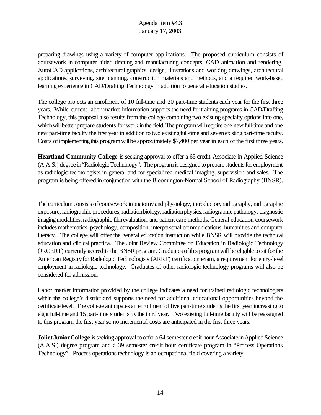preparing drawings using a variety of computer applications. The proposed curriculum consists of coursework in computer aided drafting and manufacturing concepts, CAD animation and rendering, AutoCAD applications, architectural graphics, design, illustrations and working drawings, architectural applications, surveying, site planning, construction materials and methods, and a required work-based learning experience in CAD/Drafting Technology in addition to general education studies.

The college projects an enrollment of 10 full-time and 20 part-time students each year for the first three years. While current labor market information supports the need for training programs in CAD/Drafting Technology, this proposal also results from the college combining two existing specialty options into one, which will better prepare students for work in the field. The program will require one new full-time and one new part-time faculty the first year in addition to two existing full-time and sevenexisting part-time faculty. Costs of implementing this program will be approximately \$7,400 per year in each of the first three years.

**Heartland Community College** is seeking approval to offer a 65 credit Associate in Applied Science (A.A.S.) degree in "Radiologic Technology". The program is designed to prepare students for employment as radiologic technologists in general and for specialized medical imaging, supervision and sales. The program is being offered in conjunction with the Bloomington-Normal School of Radiography (BNSR).

The curriculum consists of coursework in anatomy and physiology, introductory radiography, radiographic exposure, radiographic procedures, radiationbiology, radiationphysics, radiographic pathology, diagnostic imaging modalities, radiographic film evaluation, and patient care methods. General education coursework includes mathematics, psychology, composition, interpersonal communications, humanities and computer literacy. The college will offer the general education instruction while BNSR will provide the technical education and clinical practica. The Joint Review Committee on Education in Radiologic Technology (JRCERT) currently accredits the BNSR program. Graduates of this program will be eligible to sit for the American Registry for Radiologic Technologists (ARRT) certification exam, a requirement for entry-level employment in radiologic technology. Graduates of other radiologic technology programs will also be considered for admission.

Labor market information provided by the college indicates a need for trained radiologic technologists within the college's district and supports the need for additional educational opportunities beyond the certificate level. The college anticipates an enrollment of five part-time students the first year increasing to eight full-time and 15 part-time students bythe third year. Two existing full-time faculty will be reassigned to this program the first year so no incremental costs are anticipated in the first three years.

**Joliet Junior College** is seeking approval to offer a 64 semester credit hour Associate in Applied Science (A.A.S.) degree program and a 39 semester credit hour certificate program in "Process Operations Technology". Process operations technology is an occupational field covering a variety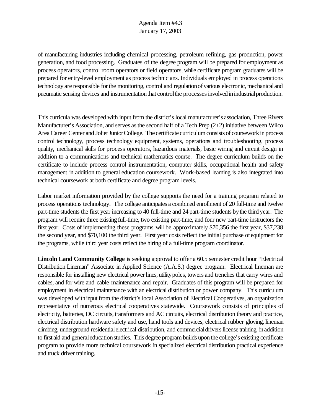of manufacturing industries including chemical processing, petroleum refining, gas production, power generation, and food processing. Graduates of the degree program will be prepared for employment as process operators, control room operators or field operators, while certificate program graduates will be prepared for entry-level employment as process technicians. Individuals employed in process operations technology are responsible for the monitoring, control and regulation of various electronic, mechanical and pneumatic sensing devices and instrumentation that control the processes involved in industrial production.

This curricula was developed with input from the district's local manufacturer's association, Three Rivers Manufacturer's Association, and serves as the second half of a Tech Prep  $(2+2)$  initiative between Wilco Area Career Center and Joliet Junior College. The certificate curriculum consists of coursework in process control technology, process technology equipment, systems, operations and troubleshooting, process quality, mechanical skills for process operators, hazardous materials, basic wiring and circuit design in addition to a communications and technical mathematics course. The degree curriculum builds on the certificate to include process control instrumentation, computer skills, occupational health and safety management in addition to general education coursework. Work-based learning is also integrated into technical coursework at both certificate and degree program levels.

Labor market information provided by the college supports the need for a training program related to process operations technology. The college anticipates a combined enrollment of 20 full-time and twelve part-time students the first year increasing to 40 full-time and 24 part-time students bythe third year. The program will require three existing full-time, two existing part-time, and four new part-time instructors the first year. Costs of implementing these programs will be approximately \$70,356 the first year, \$37,238 the second year, and \$70,100 the third year. First year costs reflect the initial purchase ofequipment for the programs, while third year costs reflect the hiring of a full-time program coordinator.

**Lincoln Land Community College** is seeking approval to offer a 60.5 semester credit hour "Electrical Distribution Lineman" Associate in Applied Science (A.A.S.) degree program. Electrical lineman are responsible for installing new electrical power lines, utility poles, towers and trenches that carry wires and cables, and for wire and cable maintenance and repair. Graduates of this program will be prepared for employment in electrical maintenance with an electrical distribution or power company. This curriculum was developed withinput from the district's local Association of Electrical Cooperatives, an organization representative of numerous electrical cooperatives statewide. Coursework consists of principles of electricity, batteries, DC circuits, transformers and AC circuits, electrical distribution theory and practice, electrical distribution hardware safety and use, hand tools and devices, electrical rubber gloving, lineman climbing, underground residentialelectrical distribution, and commercialdriverslicense training, inaddition to first aid and general education studies. This degree program builds upon the college's existing certificate program to provide more technical coursework in specialized electrical distribution practical experience and truck driver training.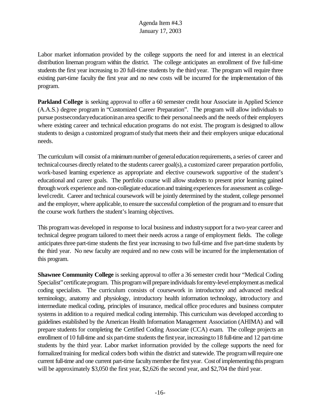Labor market information provided by the college supports the need for and interest in an electrical distribution lineman program within the district. The college anticipates an enrollment of five full-time students the first year increasing to 20 full-time students by the third year. The program will require three existing part-time faculty the first year and no new costs will be incurred for the implementation of this program.

**Parkland College** is seeking approval to offer a 60 semester credit hour Associate in Applied Science (A.A.S.) degree program in "Customized Career Preparation". The program will allow individuals to pursue postsecondary education in an area specific to their personal needs and the needs of their employers where existing career and technical education programs do not exist. The program is designed to allow students to design a customized program of study that meets their and their employers unique educational needs.

The curriculum will consist of a minimum number of general education requirements, a series of career and technical courses directly related to the students career goal(s), a customized career preparation portfolio, work-based learning experience as appropriate and elective coursework supportive of the student's educational and career goals. The portfolio course will allow students to present prior learning gained through work experience and non-collegiate education and training experiences for assessment as collegelevelcredit. Career and technical coursework will be jointly determined by the student, college personnel and the employer, where applicable, to ensure the successful completion of the programand to ensure that the course work furthers the student's learning objectives.

This programwas developed in response to local business and industrysupport for a two-year career and technical degree program tailored to meet their needs across a range of employment fields. The college anticipatesthree part-time students the first year increasing to two full-time and five part-time students by the third year. No new faculty are required and no new costs will be incurred for the implementation of this program.

**Shawnee Community College** is seeking approval to offer a 36 semester credit hour "Medical Coding Specialist" certificate program. This program will prepare individuals for entry-level employment as medical coding specialists. The curriculum consists of coursework in introductory and advanced medical terminology, anatomy and physiology, introductory health information technology, introductory and intermediate medical coding, principles of insurance, medical office procedures and business computer systems in addition to a required medical coding internship. This curriculum was developed according to guidelines established by the American Health Information Management Association (AHIMA) and will prepare students for completing the Certified Coding Associate (CCA) exam. The college projects an enrollment of 10 full-time and six part-time students the first year, increasing to 18 full-time and 12 part-time students by the third year. Labor market information provided by the college supports the need for formalized training for medical coders both within the district and statewide. The program will require one current full-time and one current part-time faculty member the first year. Cost of implementing this program will be approximately \$3,050 the first year, \$2,626 the second year, and \$2,704 the third year.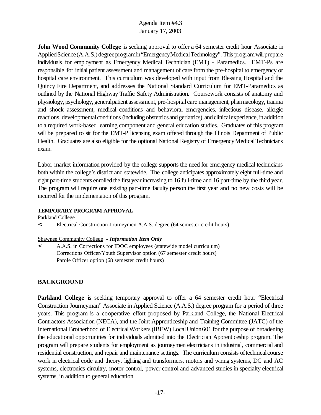**John Wood Community College** is seeking approval to offer a 64 semester credit hour Associate in Applied Science (A.A.S.) degree programin "Emergency Medical Technology". This program will prepare individuals for employment as Emergency Medical Technician (EMT) - Paramedics. EMT-Ps are responsible for initial patient assessment and management of care from the pre-hospital to emergency or hospital care environment. This curriculum was developed with input from Blessing Hospital and the Quincy Fire Department, and addresses the National Standard Curriculum for EMT-Paramedics as outlined by the National Highway Traffic Safety Administration. Coursework consists of anatomy and physiology, psychology, generalpatient assessment, pre-hospitalcare management, pharmacology, trauma and shock assessment, medical conditions and behavioral emergencies, infectious disease, allergic reactions, developmental conditions (including obstetrics and geriatrics), and clinical experience, in addition to a required work-based learning component and general education studies. Graduates of this program will be prepared to sit for the EMT-P licensing exam offered through the Illinois Department of Public Health. Graduates are also eligible for the optional National Registry of Emergency Medical Technicians exam.

Labor market information provided by the college supports the need for emergency medical technicians both within the college's district and statewide. The college anticipates approximately eight full-time and eight part-time students enrolled the first yearincreasing to 16 full-time and 16 part-time by the third year. The program will require one existing part-time faculty person the first year and no new costs will be incurred for the implementation of this program.

#### **TEMPORARY PROGRAM APPROVAL**

Parkland College

< Electrical Construction Journeymen A.A.S. degree (64 semester credit hours)

#### Shawnee Community College - *Information Item Only*

< A.A.S. in Corrections for IDOC employees (statewide model curriculum) Corrections Officer/Youth Supervisor option (67 semester credit hours) Parole Officer option (68 semester credit hours)

## **BACKGROUND**

**Parkland College** is seeking temporary approval to offer a 64 semester credit hour "Electrical Construction Journeyman" Associate in Applied Science (A.A.S.) degree program for a period of three years. This program is a cooperative effort proposed by Parkland College, the National Electrical Contractors Association (NECA), and the Joint Apprenticeship and Training Committee (JATC) of the International Brotherhood of ElectricalWorkers(IBEW) LocalUnion601 for the purpose of broadening the educational opportunities for individuals admitted into the Electrician Apprenticeship program. The program will prepare students for employment as journeymen electricians in industrial, commercial and residential construction, and repair and maintenance settings. The curriculum consists oftechnicalcourse work in electrical code and theory, lighting and transformers, motors and wiring systems, DC and AC systems, electronics circuitry, motor control, power control and advanced studies in specialty electrical systems, in addition to general education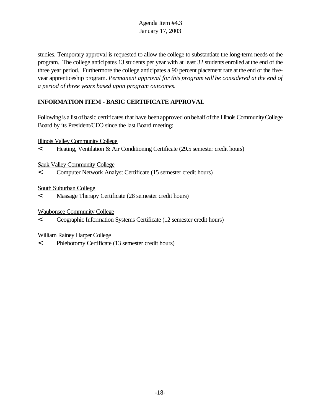studies. Temporary approval is requested to allow the college to substantiate the long-term needs of the program. The college anticipates 13 students per year with at least 32 students enrolled at the end of the three year period. Furthermore the college anticipates a 90 percent placement rate at the end of the fiveyear apprenticeship program. *Permanent approval for this program will be considered at the end of a period of three years based upon program outcomes.*

# **INFORMATION ITEM - BASIC CERTIFICATE APPROVAL**

Following is a list ofbasic certificates that have beenapproved onbehalf ofthe Illinois CommunityCollege Board by its President/CEO since the last Board meeting:

Illinois Valley Community College

< Heating, Ventilation & Air Conditioning Certificate (29.5 semester credit hours)

Sauk Valley Community College

< Computer Network Analyst Certificate (15 semester credit hours)

South Suburban College

< Massage Therapy Certificate (28 semester credit hours)

Waubonsee Community College

< Geographic Information Systems Certificate (12 semester credit hours)

William Rainey Harper College

< Phlebotomy Certificate (13 semester credit hours)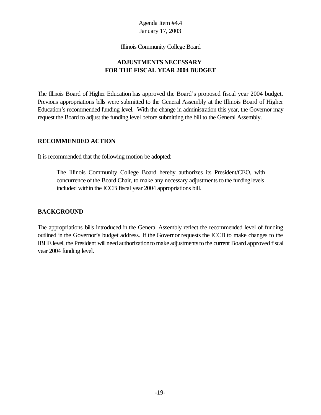Illinois Community College Board

# **ADJUSTMENTS NECESSARY FOR THE FISCAL YEAR 2004 BUDGET**

The Illinois Board of Higher Education has approved the Board's proposed fiscal year 2004 budget. Previous appropriations bills were submitted to the General Assembly at the Illinois Board of Higher Education's recommended funding level. With the change in administration this year, the Governor may request the Board to adjust the funding level before submitting the bill to the General Assembly.

## **RECOMMENDED ACTION**

It is recommended that the following motion be adopted:

The Illinois Community College Board hereby authorizes its President/CEO, with concurrence ofthe Board Chair, to make any necessary adjustments to the funding levels included within the ICCB fiscal year 2004 appropriations bill.

# **BACKGROUND**

The appropriations bills introduced in the General Assembly reflect the recommended level of funding outlined in the Governor's budget address. If the Governor requests the ICCB to make changes to the IBHE level, the President will need authorization to make adjustments to the current Board approved fiscal year 2004 funding level.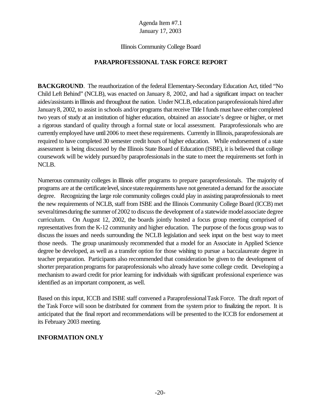#### Illinois Community College Board

## **PARAPROFESSIONAL TASK FORCE REPORT**

**BACKGROUND**. The reauthorization of the federal Elementary-Secondary Education Act, titled "No Child Left Behind" (NCLB), was enacted on January 8, 2002, and had a significant impact on teacher aides/assistants in Illinois and throughout the nation. Under NCLB, education paraprofessionals hired after January 8, 2002, to assist in schools and/or programs that receive Title I funds must have either completed two years of study at an institution of higher education, obtained an associate's degree or higher, or met a rigorous standard of quality through a formal state or local assessment. Paraprofessionals who are currently employed have until2006 to meet these requirements. Currently in Illinois, paraprofessionals are required to have completed 30 semester credit hours of higher education. While endorsement of a state assessment is being discussed by the Illinois State Board of Education (ISBE), it is believed that college coursework will be widely pursued by paraprofessionals in the state to meet the requirements set forth in NCLB.

Numerous community colleges in Illinois offer programs to prepare paraprofessionals. The majority of programs are at the certificate level, since state requirements have not generated a demand for the associate degree. Recognizing the large role community colleges could play in assisting paraprofessionals to meet the new requirements of NCLB, staff from ISBE and the Illinois Community College Board (ICCB) met several times during the summer of 2002 to discuss the development of a statewide model associate degree curriculum. On August 12, 2002, the boards jointly hosted a focus group meeting comprised of representatives from the K-12 community and higher education. The purpose of the focus group was to discuss the issues and needs surrounding the NCLB legislation and seek input on the best way to meet those needs. The group unanimously recommended that a model for an Associate in Applied Science degree be developed, as well as a transfer option for those wishing to pursue a baccalaureate degree in teacher preparation. Participants also recommended that consideration be given to the development of shorter preparation programs for paraprofessionals who already have some college credit. Developing a mechanism to award credit for prior learning for individuals with significant professional experience was identified as an important component, as well.

Based on this input, ICCB and ISBE staff convened a ParaprofessionalTask Force. The draft report of the Task Force will soon be distributed for comment from the system prior to finalizing the report. It is anticipated that the final report and recommendations will be presented to the ICCB for endorsement at its February 2003 meeting.

## **INFORMATION ONLY**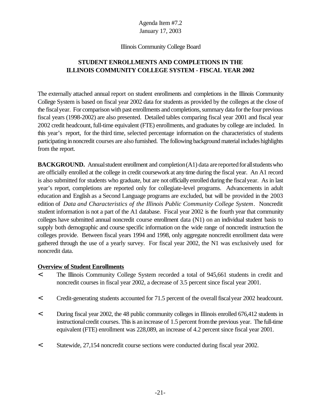#### Illinois Community College Board

# **STUDENT ENROLLMENTS AND COMPLETIONS IN THE ILLINOIS COMMUNITY COLLEGE SYSTEM - FISCAL YEAR 2002**

The externally attached annual report on student enrollments and completions in the Illinois Community College System is based on fiscal year 2002 data for students as provided by the colleges at the close of the fiscalyear. For comparison with past enrollments and completions, summary data for the four previous fiscal years (1998-2002) are also presented. Detailed tables comparing fiscal year 2001 and fiscal year 2002 credit headcount, full-time equivalent (FTE) enrollments, and graduates by college are included. In this year's report, for the third time, selected percentage information on the characteristics of students participating in noncredit courses are also furnished. The following background material includes highlights from the report.

**BACKGROUND.** Annual student enrollment and completion (A1) data are reported for all students who are officially enrolled at the college in credit coursework at any time during the fiscal year. An A1 record is also submitted for students who graduate, but are not officially enrolled during the fiscalyear. As in last year's report, completions are reported only for collegiate-level programs. Advancements in adult education and English as a Second Language programs are excluded, but will be provided in the 2003 edition of *Data and Characteristics of the Illinois Public Community College System*. Noncredit student information is not a part of the A1 database. Fiscal year 2002 is the fourth year that community colleges have submitted annual noncredit course enrollment data (N1) on an individual student basis to supply both demographic and course specific information on the wide range of noncredit instruction the colleges provide. Between fiscal years 1994 and 1998, only aggregate noncredit enrollment data were gathered through the use of a yearly survey. For fiscal year 2002, the N1 was exclusively used for noncredit data.

#### **Overview of Student Enrollments**

- < The Illinois Community College System recorded a total of 945,661 students in credit and noncredit courses in fiscal year 2002, a decrease of 3.5 percent since fiscal year 2001.
- < Credit-generating students accounted for 71.5 percent of the overallfiscalyear 2002 headcount.
- < During fiscal year 2002, the 48 public community colleges in Illinois enrolled 676,412 students in instructional credit courses. This is an increase of 1.5 percent from the previous year. The full-time equivalent (FTE) enrollment was 228,089, an increase of 4.2 percent since fiscal year 2001.
- < Statewide, 27,154 noncredit course sections were conducted during fiscal year 2002.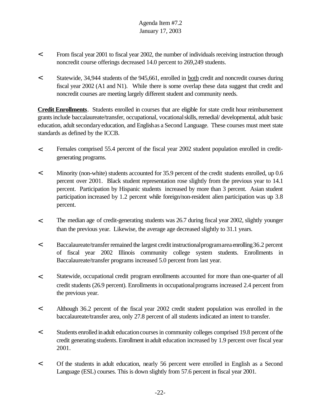- < From fiscal year 2001 to fiscal year 2002, the number of individuals receiving instruction through noncredit course offerings decreased 14.0 percent to 269,249 students.
- < Statewide, 34,944 students of the 945,661, enrolled in both credit and noncredit courses during fiscal year 2002 (A1 and N1). While there is some overlap these data suggest that credit and noncredit courses are meeting largely different student and community needs.

**Credit Enrollments**. Students enrolled in courses that are eligible for state credit hour reimbursement grantsinclude baccalaureate/transfer, occupational, vocationalskills,remedial/ developmental, adult basic education, adult secondaryeducation, and Englishas a Second Language. These courses must meet state standards as defined by the ICCB.

- < Females comprised 55.4 percent of the fiscal year 2002 student population enrolled in creditgenerating programs.
- < Minority (non-white) students accounted for 35.9 percent of the credit students enrolled, up 0.6 percent over 2001. Black student representation rose slightly from the previous year to 14.1 percent. Participation by Hispanic students increased by more than 3 percent. Asian student participation increased by 1.2 percent while foreign/non-resident alien participation was up 3.8 percent.
- < The median age of credit-generating students was 26.7 during fiscal year 2002, slightly younger than the previous year. Likewise, the average age decreased slightly to 31.1 years.
- < Baccalaureate/transfer remained the largest credit instructional programarea enrolling 36.2 percent of fiscal year 2002 Illinois community college system students. Enrollments in Baccalaureate/transfer programs increased 5.0 percent from last year.
- < Statewide, occupational credit program enrollments accounted for more than one-quarter of all credit students (26.9 percent). Enrollments in occupationalprograms increased 2.4 percent from the previous year.
- < Although 36.2 percent of the fiscal year 2002 credit student population was enrolled in the baccalaureate/transfer area, only 27.8 percent of all students indicated an intent to transfer.
- < Students enrolled inadult educationcoursesin community colleges comprised 19.8 percent ofthe credit generating students. Enrollment inadult education increased by 1.9 percent over fiscal year 2001.
- < Of the students in adult education, nearly 56 percent were enrolled in English as a Second Language (ESL) courses. This is down slightly from 57.6 percent in fiscal year 2001.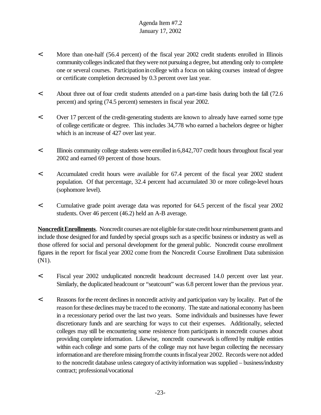- < More than one-half (56.4 percent) of the fiscal year 2002 credit students enrolled in Illinois community colleges indicated that they were not pursuing a degree, but attending only to complete one or several courses. Participationincollege with a focus on taking courses instead of degree or certificate completion decreased by 0.3 percent over last year.
- < About three out of four credit students attended on a part-time basis during both the fall (72.6 percent) and spring (74.5 percent) semesters in fiscal year 2002.
- < Over 17 percent of the credit-generating students are known to already have earned some type of college certificate or degree. This includes 34,778 who earned a bachelors degree or higher which is an increase of 427 over last year.
- < Illinois community college students were enrolled in6,842,707 credit hours throughout fiscal year 2002 and earned 69 percent of those hours.
- < Accumulated credit hours were available for 67.4 percent of the fiscal year 2002 student population. Of that percentage, 32.4 percent had accumulated 30 or more college-level hours (sophomore level).
- < Cumulative grade point average data was reported for 64.5 percent of the fiscal year 2002 students. Over 46 percent (46.2) held an A-B average.

**NoncreditEnrollments**. Noncredit courses are not eligible for state credit hour reimbursement grants and include those designed for and funded by special groups such as a specific business or industry as well as those offered for social and personal development for the general public. Noncredit course enrollment figures in the report for fiscal year 2002 come from the Noncredit Course Enrollment Data submission (N1).

- < Fiscal year 2002 unduplicated noncredit headcount decreased 14.0 percent over last year. Similarly, the duplicated headcount or "seatcount" was 6.8 percent lower than the previous year.
- < Reasons forthe recent declinesin noncredit activity and participation vary by locality. Part of the reason for these declines may be traced to the economy. The state and national economy has been in a recessionary period over the last two years. Some individuals and businesses have fewer discretionary funds and are searching for ways to cut their expenses. Additionally, selected colleges may still be encountering some resistence from participants in noncredit courses about providing complete information. Likewise, noncredit coursework is offered by multiple entities within each college and some parts of the college may not have begun collecting the necessary information and are therefore missing from the counts in fiscal year 2002. Records were not added to the noncredit database unless categoryof activityinformation was supplied – business/industry contract; professional/vocational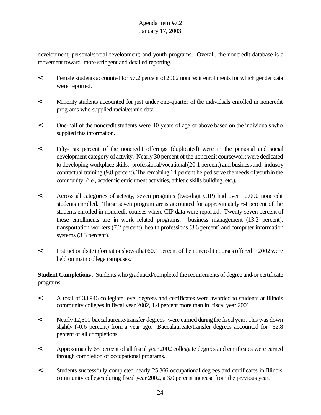development; personal/social development; and youth programs. Overall, the noncredit database is a movement toward more stringent and detailed reporting.

- < Female students accounted for 57.2 percent of2002 noncredit enrollments for which gender data were reported.
- < Minority students accounted for just under one-quarter of the individuals enrolled in noncredit programs who supplied racial/ethnic data.
- < One-half of the noncredit students were 40 years of age or above based on the individuals who supplied this information.
- < Fifty- six percent of the noncredit offerings (duplicated) were in the personal and social development category of activity. Nearly 30 percent of the noncredit coursework were dedicated to developing workplace skills: professional/vocational(20.1 percent) and business and industry contractual training (9.8 percent). The remaining 14 percent helped serve the needs ofyouthin the community (i.e., academic enrichment activities, athletic skills building, etc.).
- < Across all categories of activity, seven programs (two-digit CIP) had over 10,000 noncredit students enrolled. These seven program areas accounted for approximately 64 percent of the students enrolled in noncredit courses where CIP data were reported. Twenty-seven percent of these enrollments are in work related programs: business management (13.2 percent), transportation workers (7.2 percent), health professions (3.6 percent) and computer information systems (3.3 percent).
- $\leq$  Instructional site information shows that 60.1 percent of the noncredit courses offered in 2002 were held on main college campuses.

**Student Completions**. Students who graduated/completed the requirements of degree and/or certificate programs.

- < A total of 38,946 collegiate level degrees and certificates were awarded to students at Illinois community colleges in fiscal year 2002, 1.4 percent more than in fiscal year 2001.
- < Nearly 12,800 baccalaureate/transfer degrees were earned during the fiscalyear. This was down slightly (-0.6 percent) from a year ago. Baccalaureate/transfer degrees accounted for 32.8 percent of all completions.
- < Approximately 65 percent of all fiscal year 2002 collegiate degrees and certificates were earned through completion of occupational programs.
- < Students successfully completed nearly 25,366 occupational degrees and certificates in Illinois community colleges during fiscal year 2002, a 3.0 percent increase from the previous year.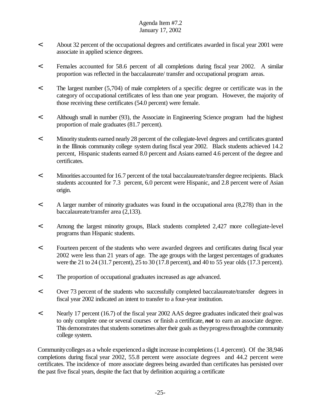- < About 32 percent of the occupational degrees and certificates awarded in fiscal year 2001 were associate in applied science degrees.
- < Females accounted for 58.6 percent of all completions during fiscal year 2002. A similar proportion was reflected in the baccalaureate/ transfer and occupational program areas.
- < The largest number (5,704) of male completers of a specific degree or certificate was in the category of occupational certificates of less than one year program. However, the majority of those receiving these certificates (54.0 percent) were female.
- < Although small in number (93), the Associate in Engineering Science program had the highest proportion of male graduates (81.7 percent).
- < Minoritystudents earned nearly 28 percent of the collegiate-level degrees and certificates granted in the Illinois community college system during fiscal year 2002. Black students achieved 14.2 percent, Hispanic students earned 8.0 percent and Asians earned 4.6 percent of the degree and certificates.
- < Minorities accounted for 16.7 percent of the total baccalaureate/transfer degree recipients. Black students accounted for 7.3 percent, 6.0 percent were Hispanic, and 2.8 percent were of Asian origin.
- < A larger number of minority graduates was found in the occupational area (8,278) than in the baccalaureate/transfer area (2,133).
- < Among the largest minority groups, Black students completed 2,427 more collegiate-level programs than Hispanic students.
- < Fourteen percent of the students who were awarded degrees and certificates during fiscal year 2002 were less than 21 years of age. The age groups with the largest percentages of graduates were the 21 to 24 (31.7 percent), 25 to 30 (17.8 percent), and 40 to 55 year olds (17.3 percent).
- < The proportion of occupational graduates increased as age advanced.
- < Over 73 percent of the students who successfully completed baccalaureate/transfer degrees in fiscal year 2002 indicated an intent to transfer to a four-year institution.
- < Nearly 17 percent (16.7) of the fiscal year 2002 AAS degree graduates indicated their goalwas to only complete one or several courses or finish a certificate, *not* to earn an associate degree. This demonstrates that students sometimes alter their goals as they progress through the community college system.

Communitycolleges as a whole experienced a slight increase incompletions (1.4 percent). Of the 38,946 completions during fiscal year 2002, 55.8 percent were associate degrees and 44.2 percent were certificates. The incidence of more associate degrees being awarded than certificates has persisted over the past five fiscal years, despite the fact that by definition acquiring a certificate